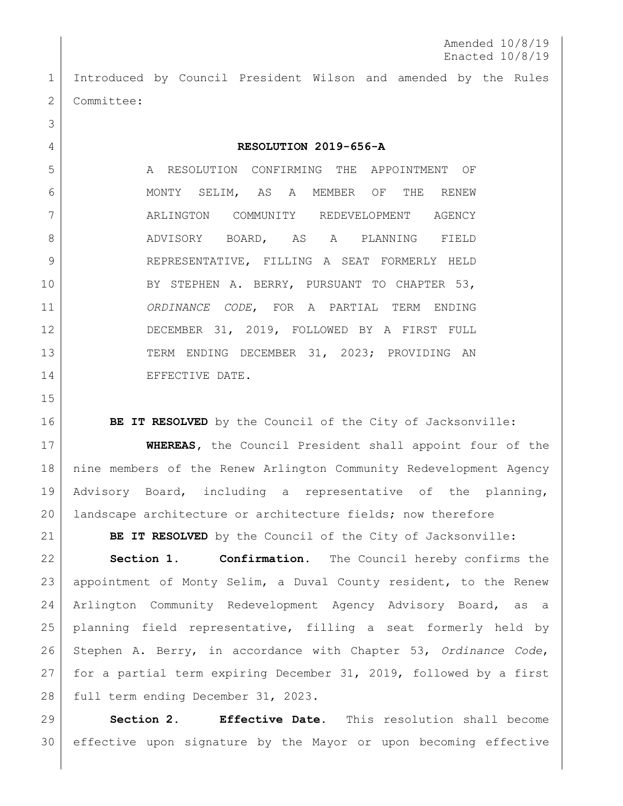Introduced by Council President Wilson and amended by the Rules 2 Committee:

## **RESOLUTION 2019-656-A**

 A RESOLUTION CONFIRMING THE APPOINTMENT OF MONTY SELIM, AS A MEMBER OF THE RENEW ARLINGTON COMMUNITY REDEVELOPMENT AGENCY 8 ADVISORY BOARD, AS A PLANNING FIELD 9 REPRESENTATIVE, FILLING A SEAT FORMERLY HELD BY STEPHEN A. BERRY, PURSUANT TO CHAPTER 53, *ORDINANCE CODE*, FOR A PARTIAL TERM ENDING DECEMBER 31, 2019, FOLLOWED BY A FIRST FULL 13 TERM ENDING DECEMBER 31, 2023; PROVIDING AN 14 EFFECTIVE DATE.

**BE IT RESOLVED** by the Council of the City of Jacksonville:

 **WHEREAS,** the Council President shall appoint four of the nine members of the Renew Arlington Community Redevelopment Agency Advisory Board, including a representative of the planning, landscape architecture or architecture fields; now therefore

**BE IT RESOLVED** by the Council of the City of Jacksonville:

 **Section 1. Confirmation.** The Council hereby confirms the appointment of Monty Selim, a Duval County resident, to the Renew Arlington Community Redevelopment Agency Advisory Board, as a planning field representative, filling a seat formerly held by Stephen A. Berry, in accordance with Chapter 53, *Ordinance Code*, for a partial term expiring December 31, 2019, followed by a first 28 full term ending December 31, 2023.

 **Section 2. Effective Date.** This resolution shall become effective upon signature by the Mayor or upon becoming effective